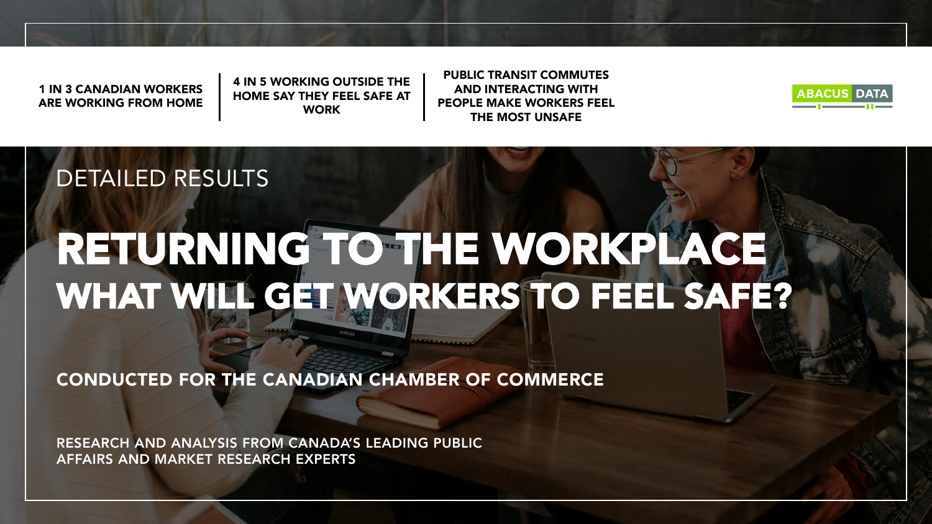1 IN 3 CANADIAN WORKERS ARE WORKING FROM HOME 4 IN 5 WORKING OUTSIDE THE HOME SAY THEY FEEL SAFE AT **WORK** 

PUBLIC TRANSIT COMMUTES AND INTERACTING WITH PEOPLE MAKE WORKERS FEEL THE MOST UNSAFE



#### DETAILED RESULTS

# RETURNING TO THE WORKPLACE WHAT WILL GET WORKERS TO FEEL SAFE?

CONDUCTED FOR THE CANADIAN CHAMBER OF COMMERCE

RESEARCH AND ANALYSIS FROM CANADA'S LEADING PUBLIC AFFAIRS AND MARKET RESEARCH EXPERTS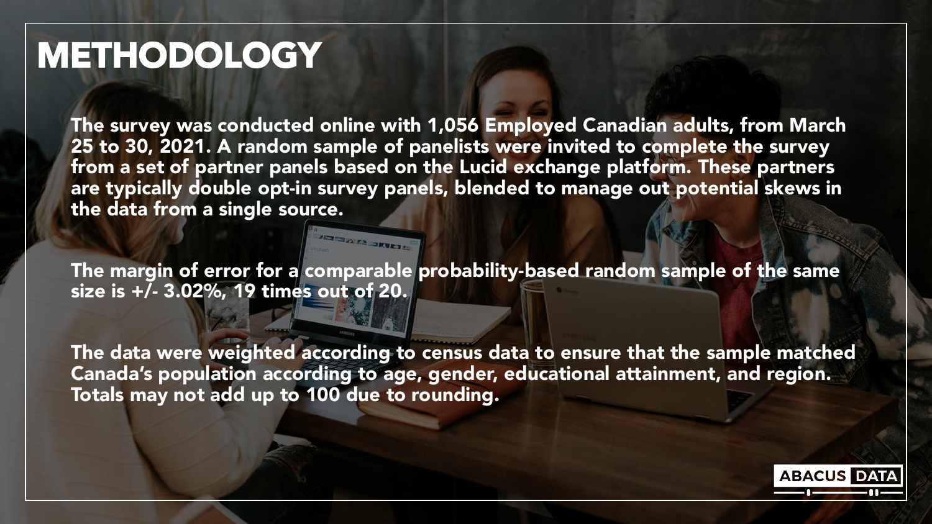### METHODOLOGY

The survey was conducted online with 1,056 Employed Canadian adults, from March 25 to 30, 2021. A random sample of panelists were invited to complete the survey from a set of partner panels based on the Lucid exchange platform. These partners are typically double opt-in survey panels, blended to manage out potential skews in the data from a single source.

The margin of error for a comparable probability-based random sample of the same size is +/- 3.02%, 19 times out of 20.

**JENES SERVERE** 

The data were weighted according to census data to ensure that the sample matched Canada's population according to age, gender, educational attainment, and region. Totals may not add up to 100 due to rounding.

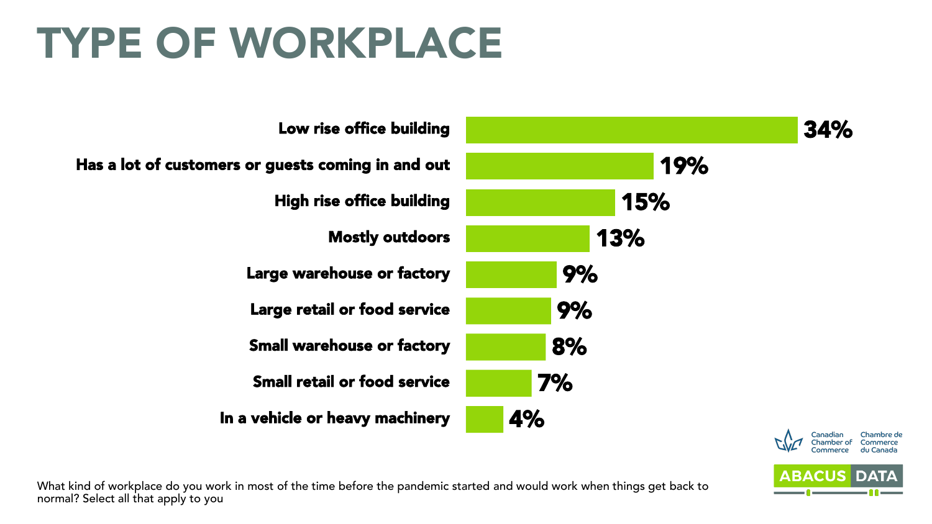# TYPE OF WORKPLACE





What kind of workplace do you work in most of the time before the pandemic started and would work when things get back to normal? Select all that apply to you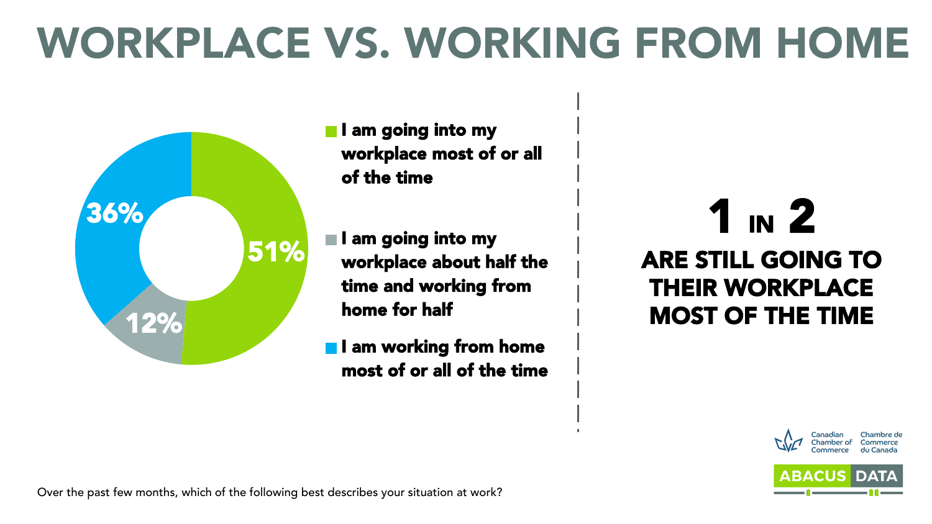# WORKPLACE VS. WORKING FROM HOME



- **I** am going into my workplace most of or all of the time
- I am going into my workplace about half the time and working from home for half
- **I** am working from home most of or all of the time

1 IN 2 ARE STILL GOING TO THEIR WORKPLACE MOST OF THE TIME



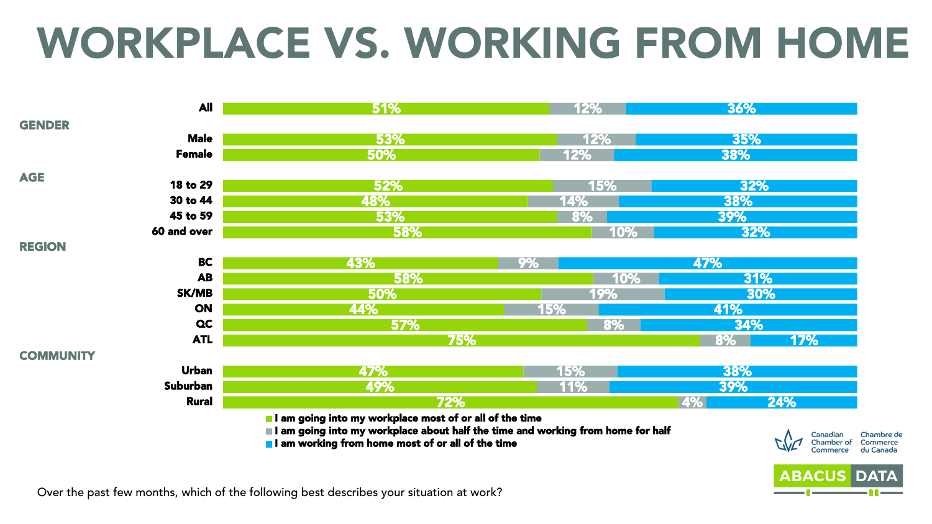# WORKPLACE VS. WORKING FROM HOME



Over the past few months, which of the following best describes your situation at work?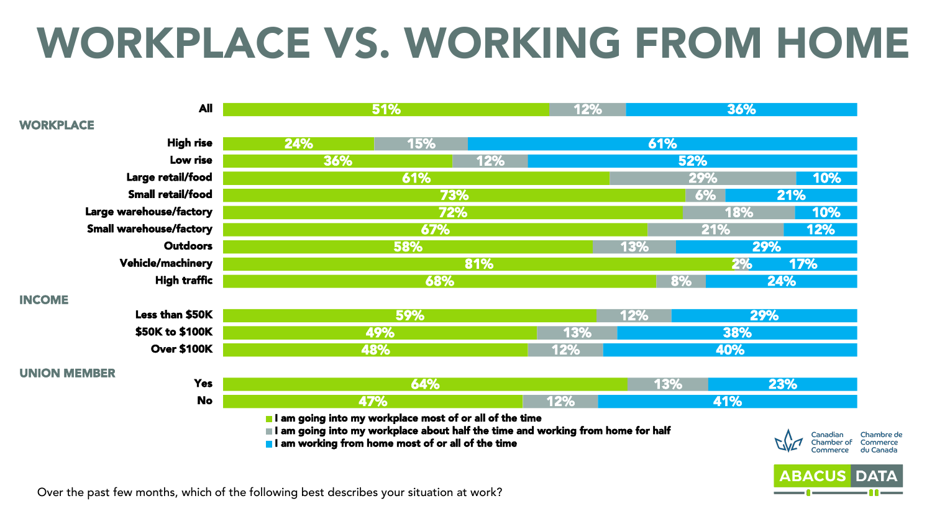# WORKPLACE VS. WORKING FROM HOME



Over the past few months, which of the following best describes your situation at work?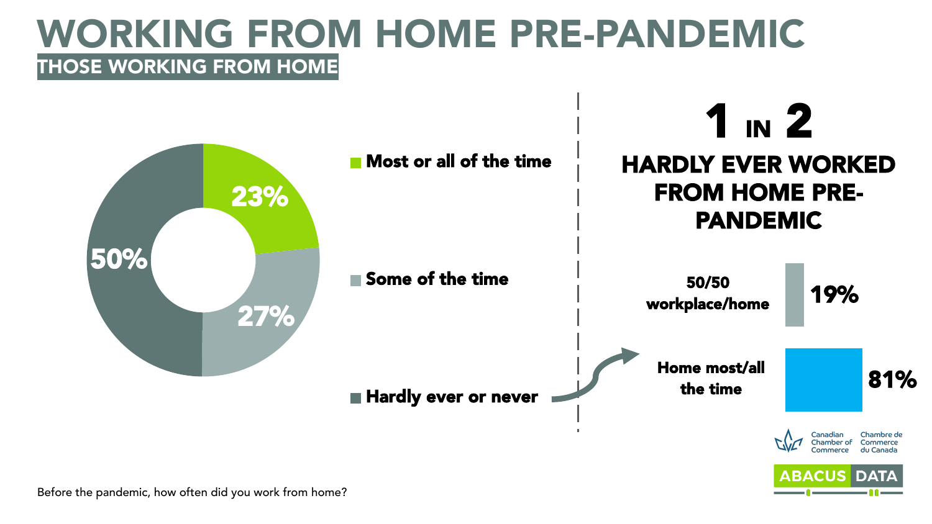### WORKING FROM HOME PRE-PANDEMIC THOSE WORKING FROM HOME

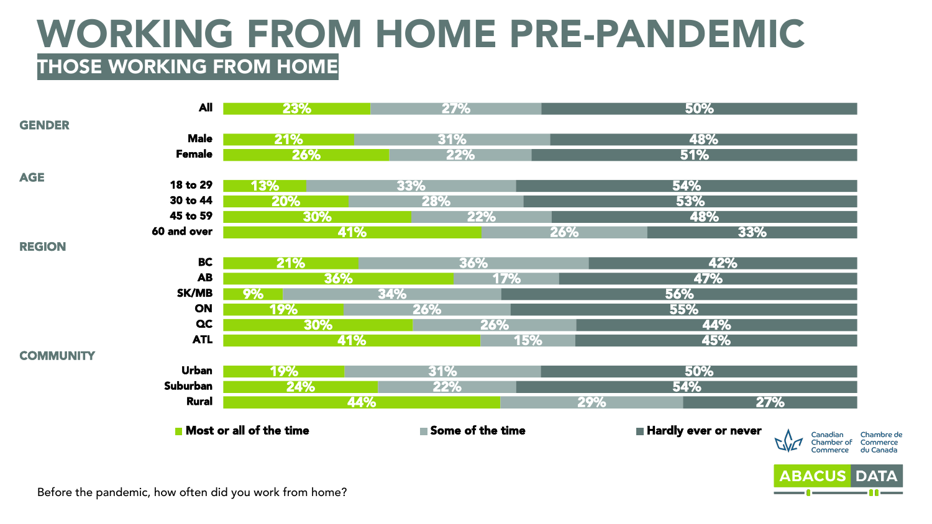### WORKING FROM HOME PRE-PANDEMIC THOSE WORKING FROM HOME

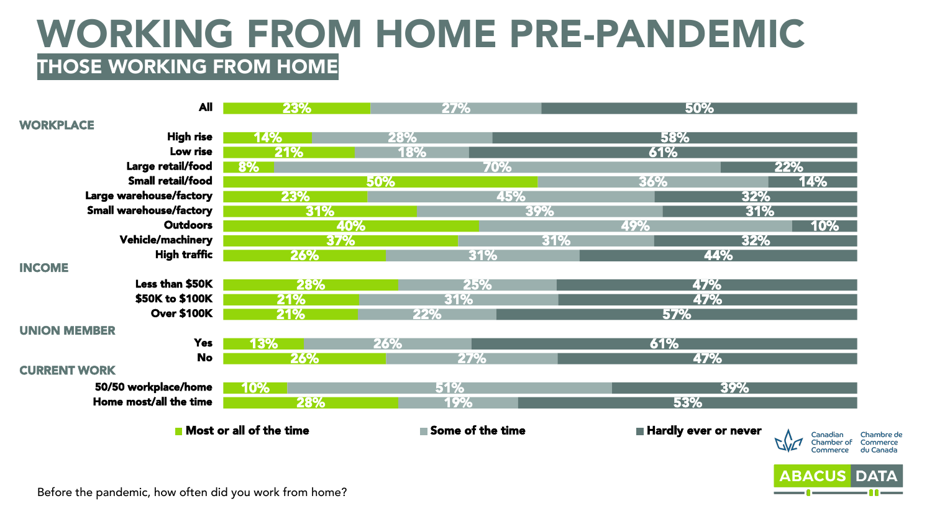### WORKING FROM HOME PRE-PANDEMIC THOSE WORKING FROM HOME

| <b>All</b>                     | 23%                     |     | <b>27%</b>       |     |     | 50%                  |                        |                       |
|--------------------------------|-------------------------|-----|------------------|-----|-----|----------------------|------------------------|-----------------------|
| <b>WORKPLACE</b>               |                         |     |                  |     |     |                      |                        |                       |
| <b>High rise</b>               | 14%                     | 28% |                  |     | 58% |                      |                        |                       |
| Low rise                       | 21%                     | 18% |                  |     | 61% |                      |                        |                       |
| Large retail/food              | 8%                      |     | 70%              |     |     |                      | 22%                    |                       |
| Small retail/food              |                         | 50% |                  |     | 36% |                      | 14%                    |                       |
| Large warehouse/factory        | 23%                     |     | 45%              |     |     | 32%                  |                        |                       |
| <b>Small warehouse/factory</b> | 31%                     |     |                  | 39% |     | 31%                  |                        |                       |
| <b>Outdoors</b>                |                         | 40% |                  |     | 49% |                      | 10%                    |                       |
| Vehicle/machinery              | 37%                     |     |                  | 31% |     | 32%                  |                        |                       |
| <b>High traffic</b>            | 26%                     |     | 31%              |     |     | 44%                  |                        |                       |
| <b>INCOME</b>                  |                         |     |                  |     |     |                      |                        |                       |
| Less than \$50K                | 28%                     |     | 25%              |     |     | 47%                  |                        |                       |
| \$50K to \$100K                | 21%                     |     | 31%              |     |     | 47%                  |                        |                       |
| <b>Over \$100K</b>             | 21%                     | 22% |                  |     | 57% |                      |                        |                       |
| <b>UNION MEMBER</b>            |                         |     |                  |     |     |                      |                        |                       |
| <b>Yes</b>                     | 13%                     | 26% |                  |     | 61% |                      |                        |                       |
| <b>No</b>                      | 26%                     |     | 27%              |     |     | 47%                  |                        |                       |
| <b>CURRENT WORK</b>            |                         |     |                  |     |     |                      |                        |                       |
| 50/50 workplace/home           | 10%                     |     | 51%              |     |     | 39%                  |                        |                       |
| Home most/all the time         | 28%                     |     | 19%              |     | 53% |                      |                        |                       |
|                                |                         |     |                  |     |     |                      |                        |                       |
|                                | Most or all of the time |     | Some of the time |     |     | Hardly ever or never | Canadian               | Chambre de            |
|                                |                         |     |                  |     |     |                      | Chamber of<br>Commerce | Commerce<br>du Canada |
|                                |                         |     |                  |     |     |                      |                        |                       |
|                                |                         |     |                  |     |     |                      | <b>ABACUS DATA</b>     |                       |

Before the pandemic, how often did you work from home?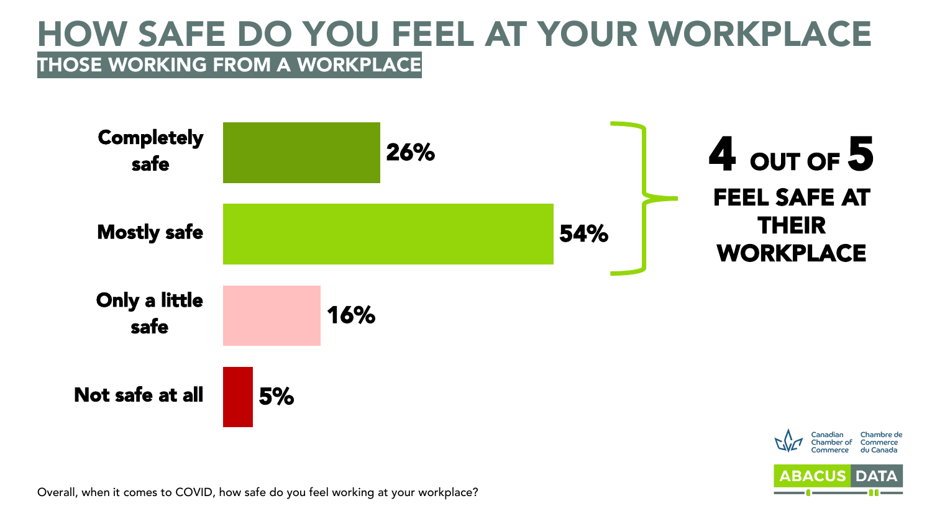#### HOW SAFE DO YOU FEEL AT YOUR WORKPLACE THOSE WORKING FROM A WORKPLACE



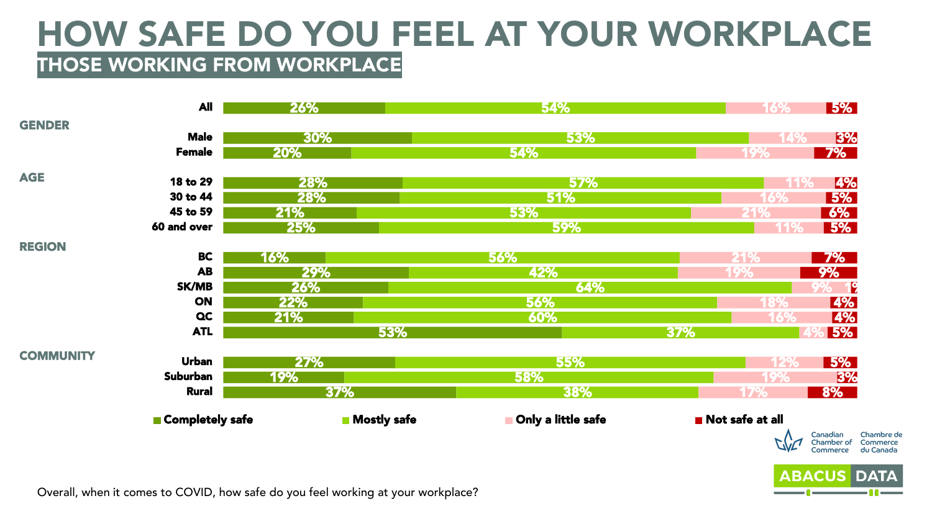#### HOW SAFE DO YOU FEEL AT YOUR WORKPLACE THOSE WORKING FROM WORKPLACE

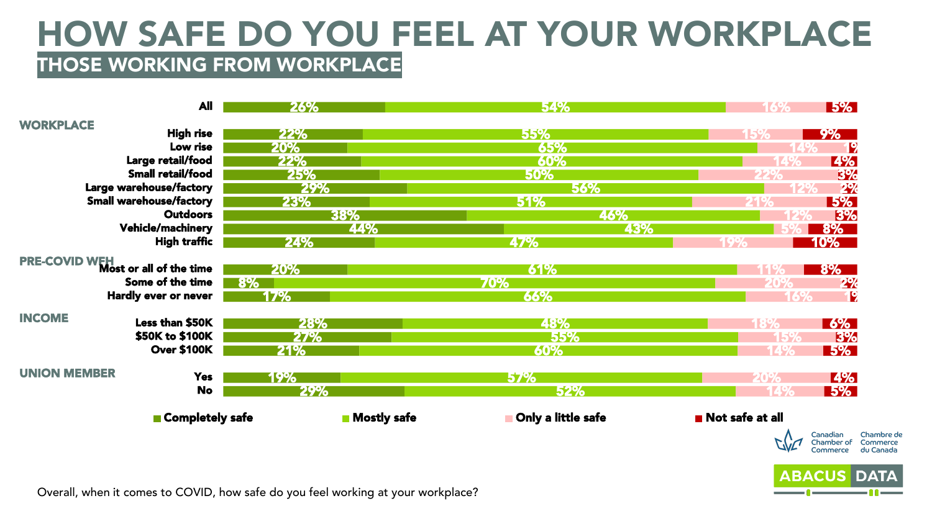#### HOW SAFE DO YOU FEEL AT YOUR WORKPLACE THOSE WORKING FROM WORKPLACE

|                     | <b>All</b>                                                                       | 26% |                    | 54%                | <b>5%</b><br>16%                                |
|---------------------|----------------------------------------------------------------------------------|-----|--------------------|--------------------|-------------------------------------------------|
| <b>WORKPLACE</b>    |                                                                                  |     |                    |                    |                                                 |
|                     | <b>High rise</b>                                                                 | 22% |                    | 55%                | <b>9%</b>                                       |
|                     | Low rise                                                                         | 20% |                    | 65%                | <b>T2</b>                                       |
|                     | Large retail/food                                                                | 22% |                    | 60%                | <b>4%</b>                                       |
|                     | Small retail/food                                                                | 25% |                    | 50%                | 3%<br>22%                                       |
|                     | Large warehouse/factory                                                          | 29% |                    | 56%                | 2%                                              |
|                     | <b>Small warehouse/factory</b><br><b>Outdoors</b>                                | 23% |                    | 51%                | <b>5%</b>                                       |
|                     |                                                                                  |     | 38%                | 46%                | 3%                                              |
|                     | <b>Vehicle/machinery</b>                                                         |     | 44%                | 43%                | $8\%$                                           |
|                     | <b>High traffic</b>                                                              | 24% |                    | 47%                | <b>10%</b>                                      |
|                     | PRE-COVID WFH<br>Most or all of the time                                         | 20% |                    | 61%                | <b>8%</b>                                       |
|                     | Some of the time                                                                 | 8%  |                    | 70%                | 2%<br>20%                                       |
|                     | Hardly ever or never                                                             | 17% |                    | 66%                | P<br>16%                                        |
| <b>INCOME</b>       |                                                                                  |     |                    |                    |                                                 |
|                     | Less than \$50K                                                                  | 28% |                    | 48%                | $\frac{6\%}{ }$                                 |
|                     | \$50K to \$100K                                                                  | 27% |                    | 55%                | 3%                                              |
|                     | <b>Over \$100K</b>                                                               | 21% |                    | 60%                | <b>5%</b>                                       |
| <b>UNION MEMBER</b> | <b>Yes</b>                                                                       | 19% |                    | <b>57%</b>         | <b>4%</b><br>20%                                |
|                     | <b>No</b>                                                                        | 29% |                    | 52%                | <b>5%</b>                                       |
|                     |                                                                                  |     |                    |                    |                                                 |
|                     | Completely safe                                                                  |     | <b>Mostly safe</b> | Only a little safe | Not safe at all                                 |
|                     |                                                                                  |     |                    |                    | Chambre de<br>Canadian                          |
|                     |                                                                                  |     |                    |                    | Commerce<br>Chamber of<br>du Canada<br>Commerce |
|                     |                                                                                  |     |                    |                    |                                                 |
|                     |                                                                                  |     |                    |                    | <b>ABACUS</b><br><b>DATA</b>                    |
|                     | Overall, when it comes to COVID, how safe do you feel working at your workplace? |     |                    |                    |                                                 |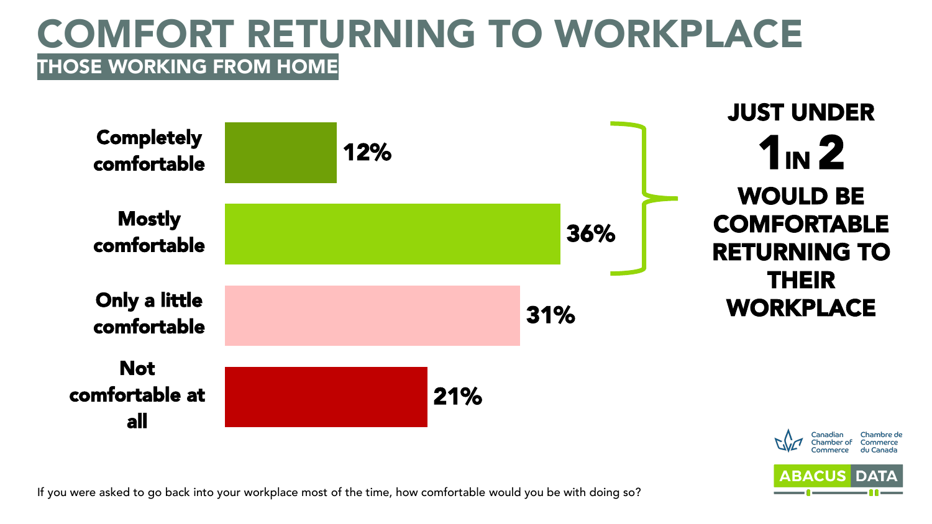#### COMFORT RETURNING TO WORKPLACE THOSE WORKING FROM HOME



**ABACUS DAT** 

If you were asked to go back into your workplace most of the time, how comfortable would you be with doing so?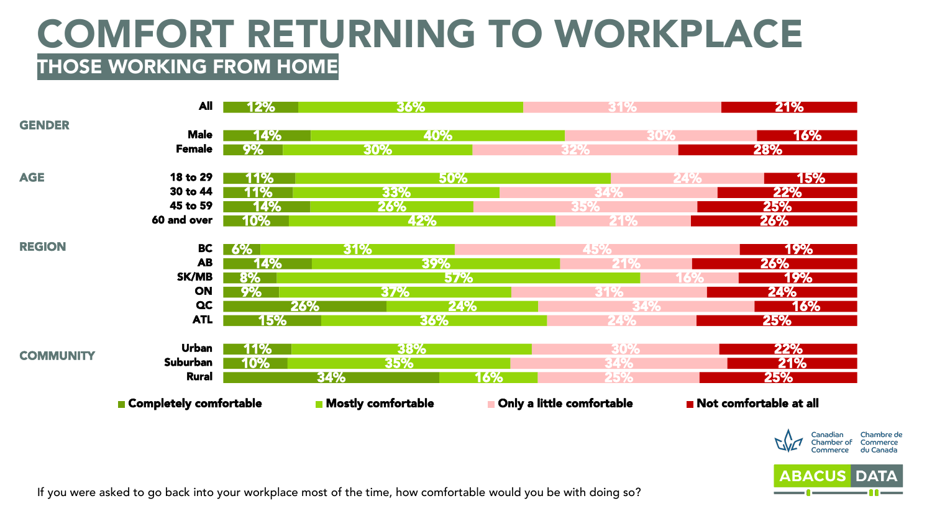#### COMFORT RETURNING TO WORKPLACE THOSE WORKING FROM HOME





If you were asked to go back into your workplace most of the time, how comfortable would you be with doing so?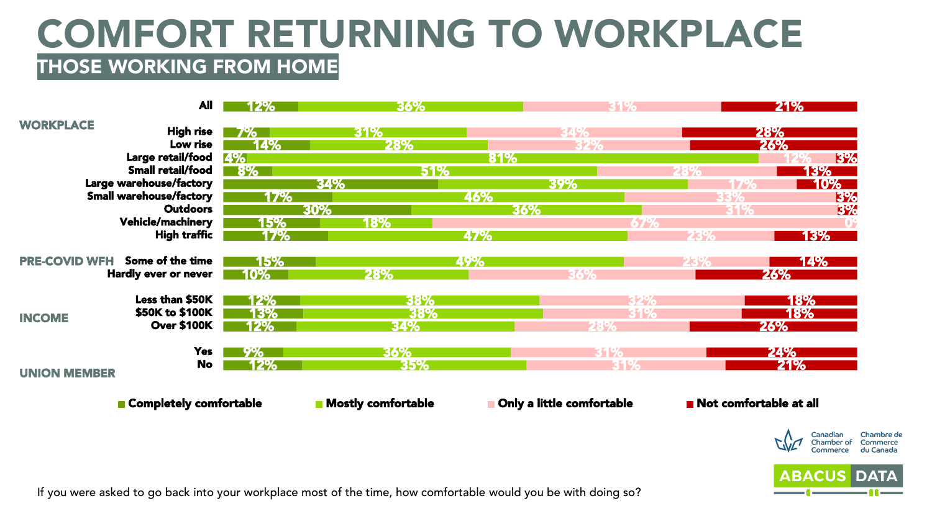#### COMFORT RETURNING TO WORKPLACE THOSE WORKING FROM HOME



If you were asked to go back into your workplace most of the time, how comfortable would you be with doing so?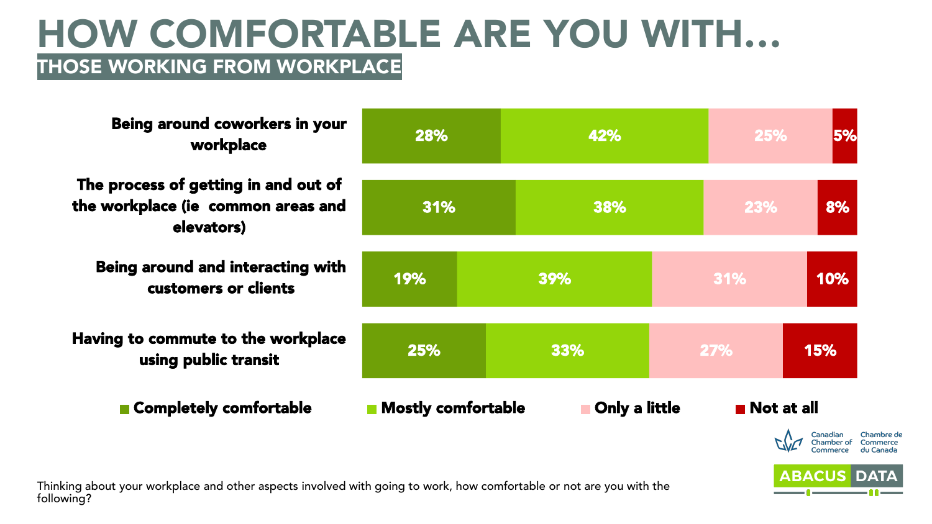#### HOW COMFORTABLE ARE YOU WITH… THOSE WORKING FROM WORKPLACE

Being around coworkers in your 5% 28% 42% 25% workplace The process of getting in and out of the workplace (ie common areas and 8% 31% 38% 23% elevators) Being around and interacting with 19% 31% 39% 10% customers or clients Having to commute to the workplace 25% 33% 27% 15% using public transit ■ Completely comfortable Alle Mostly comfortable Alle Donly a little Alle Not at all Canadian Chambre c<br>Chamber of Commerce

**ABACUS DAT**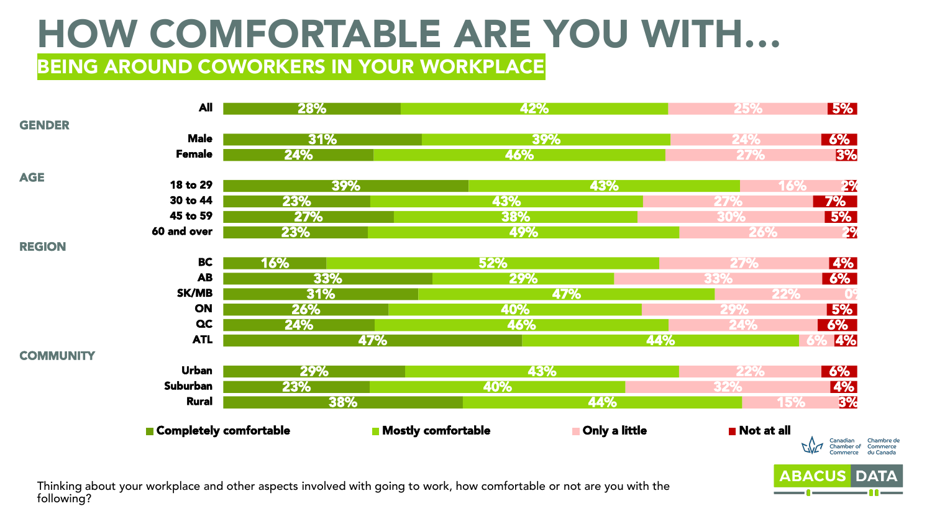#### BEING AROUND COWORKERS IN YOUR WORKPLACE

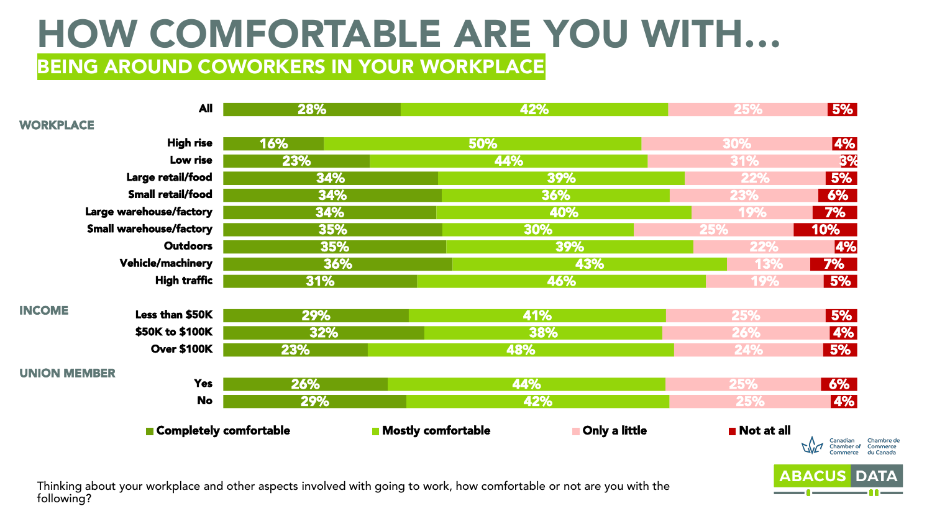#### BEING AROUND COWORKERS IN YOUR WORKPLACE

|                     | <b>All</b>                     | 28% | 42%                                               | 25%        | 5%                                                                        |
|---------------------|--------------------------------|-----|---------------------------------------------------|------------|---------------------------------------------------------------------------|
| <b>WORKPLACE</b>    |                                |     |                                                   |            |                                                                           |
|                     | <b>High rise</b>               | 16% | 50%                                               | 30%        | 4%                                                                        |
|                     | Low rise                       | 23% | 44%                                               | 31%        | <b>3%</b>                                                                 |
|                     | Large retail/food              | 34% | 39%                                               | 22%        | 5%                                                                        |
|                     | Small retail/food              | 34% | 36%                                               | 23%        | 6%                                                                        |
|                     | Large warehouse/factory        | 34% | 40%                                               | 19%        | 7%                                                                        |
|                     | <b>Small warehouse/factory</b> | 35% | 30%                                               | <b>25%</b> | 10%                                                                       |
|                     | <b>Outdoors</b>                | 35% | 39%                                               | <b>22%</b> | 4%                                                                        |
|                     | Vehicle/machinery              | 36% | 43%                                               | <b>13%</b> | 7%                                                                        |
|                     | <b>High traffic</b>            | 31% | 46%                                               | 19%        | 5%                                                                        |
| <b>INCOME</b>       |                                |     |                                                   |            |                                                                           |
|                     | Less than \$50K                | 29% | 41%                                               | 25%        | 5%                                                                        |
|                     | \$50K to \$100K                | 32% | 38%                                               | 26%        | $\sqrt{4\%}$                                                              |
|                     | <b>Over \$100K</b>             | 23% | 48%                                               | 24%        | 5%                                                                        |
| <b>UNION MEMBER</b> |                                |     |                                                   |            |                                                                           |
|                     | <b>Yes</b>                     | 26% | 44%                                               | 25%        | 6%                                                                        |
|                     | <b>No</b>                      | 29% | 42%                                               | 25%        | 4%                                                                        |
|                     | Completely comfortable         |     | <b>Only a little</b><br><b>Mostly comfortable</b> | Not at all | Canadian<br>Chambre de<br>Commerce<br>Chamber of<br>du Canada<br>Commerce |
|                     |                                |     |                                                   |            | <b>ARACUS DATA</b>                                                        |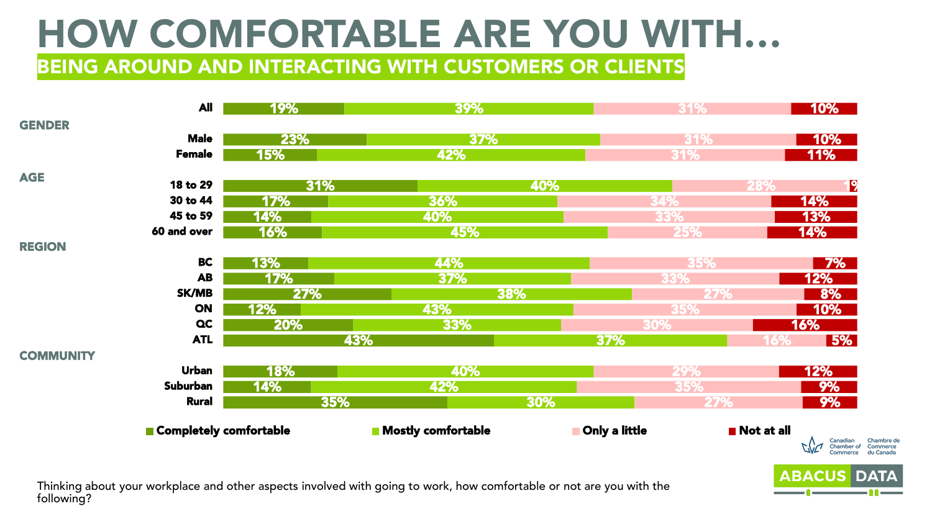BEING AROUND AND INTERACTING WITH CUSTOMERS OR CLIENTS

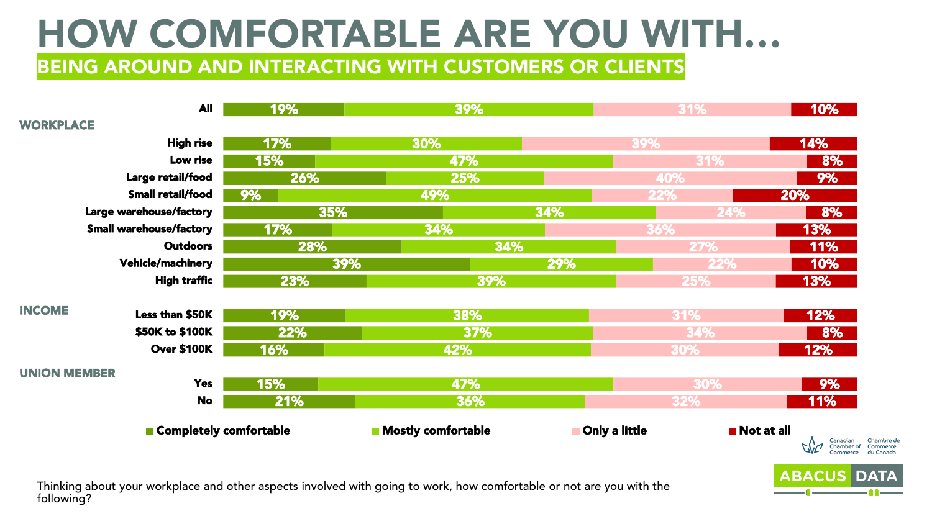BEING AROUND AND INTERACTING WITH CUSTOMERS OR CLIENTS

|                     | <b>All</b>                     | 19% | 39%                       |               | 31%        | 10%                                                                       |
|---------------------|--------------------------------|-----|---------------------------|---------------|------------|---------------------------------------------------------------------------|
| <b>WORKPLACE</b>    |                                |     |                           |               |            |                                                                           |
|                     | <b>High rise</b>               | 17% | 30%                       | 39%           |            | 14%                                                                       |
|                     | Low rise                       | 15% | 47%                       |               | 31%        | 8%                                                                        |
|                     | Large retail/food              | 26% | 25%                       |               | 40%        | 9%                                                                        |
|                     | Small retail/food              | 9%  | 49%                       |               | <b>22%</b> | 20%                                                                       |
|                     | Large warehouse/factory        | 35% |                           | 34%           | 24%        | 8%                                                                        |
|                     | <b>Small warehouse/factory</b> | 17% | 34%                       |               | 36%        | 13%                                                                       |
|                     | <b>Outdoors</b>                | 28% | 34%                       |               | <b>27%</b> | 11%                                                                       |
|                     | <b>Vehicle/machinery</b>       | 39% |                           | 29%           | 22%        | 10%                                                                       |
|                     | <b>High traffic</b>            | 23% | 39%                       |               | 25%        | 13%                                                                       |
| <b>INCOME</b>       |                                |     |                           |               |            |                                                                           |
|                     | Less than \$50K                | 19% | 38%                       |               | 31%        | 12%                                                                       |
|                     | \$50K to \$100K                | 22% | 37%                       |               | 34%        | 8%                                                                        |
|                     | <b>Over \$100K</b>             | 16% | 42%                       |               | 30%        | 12%                                                                       |
| <b>UNION MEMBER</b> |                                |     |                           |               |            |                                                                           |
|                     | <b>Yes</b>                     | 15% | 47%                       |               | 30%        | 9%                                                                        |
|                     | <b>No</b>                      | 21% | 36%                       |               | 32%        | <b>11%</b>                                                                |
|                     | Completely comfortable         |     | <b>Nostly comfortable</b> | Only a little | Not at all | Canadian<br>Chambre de<br>Commerce<br>du Canada<br>Chamber of<br>Commerce |
|                     |                                |     |                           |               |            |                                                                           |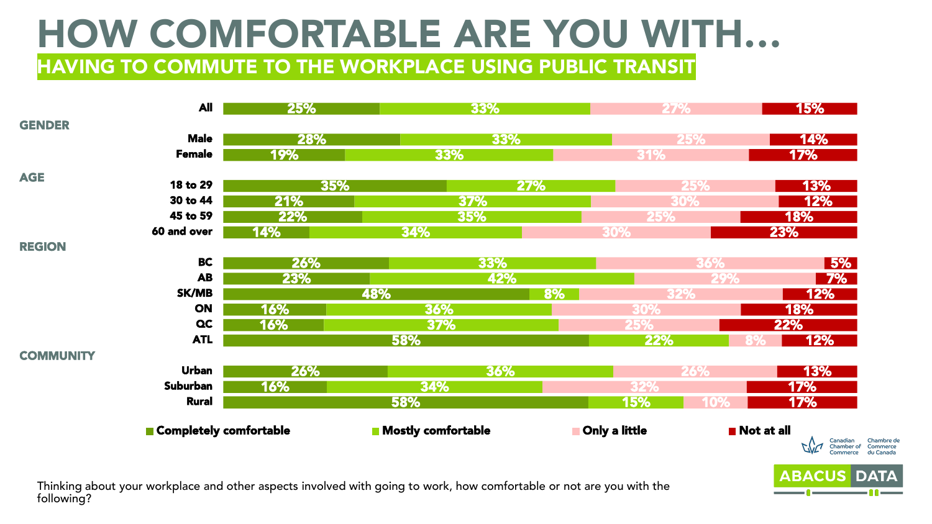HAVING TO COMMUTE TO THE WORKPLACE USING PUBLIC TRANSIT

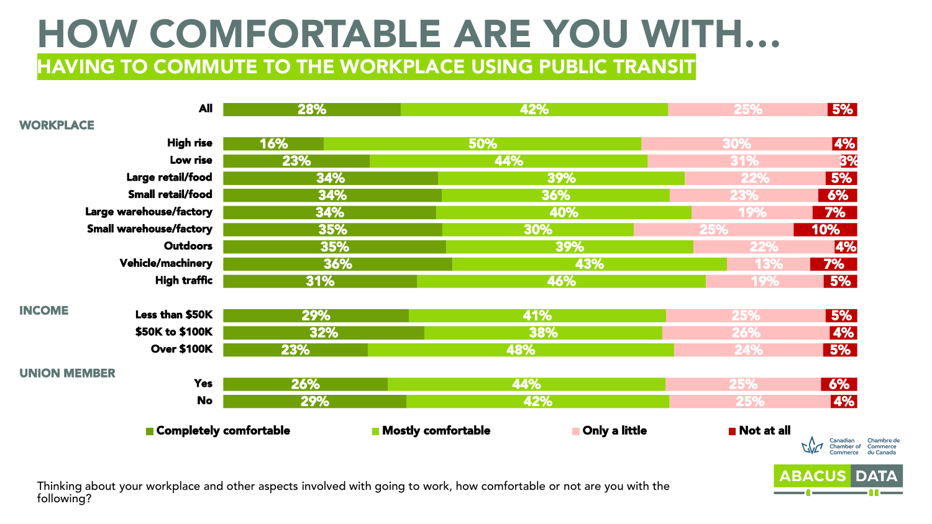HAVING TO COMMUTE TO THE WORKPLACE USING PUBLIC TRANSIT

|                     | <b>All</b>                     | 28% | 42%                                        | 25%        | 5%                                                                        |
|---------------------|--------------------------------|-----|--------------------------------------------|------------|---------------------------------------------------------------------------|
| <b>WORKPLACE</b>    |                                |     |                                            |            |                                                                           |
|                     | <b>High rise</b>               | 16% | 50%                                        | 30%        | 4%                                                                        |
|                     | Low rise                       | 23% | 44%                                        | 31%        | 3%                                                                        |
|                     | Large retail/food              | 34% | 39%                                        | 22%        | 5%                                                                        |
|                     | Small retail/food              | 34% | 36%                                        | 23%        | 6%                                                                        |
|                     | Large warehouse/factory        | 34% | 40%                                        | 19%        | 7%                                                                        |
|                     | <b>Small warehouse/factory</b> | 35% | 30%                                        | 25%        | 10%                                                                       |
|                     | <b>Outdoors</b>                | 35% | 39%                                        | 22%        | 4%                                                                        |
|                     | <b>Vehicle/machinery</b>       | 36% | 43%                                        | 13%        | 7%                                                                        |
|                     | <b>High traffic</b>            | 31% | 46%                                        | 19%        | 5%                                                                        |
| <b>INCOME</b>       | Less than \$50K                | 29% | 41%                                        | 25%        | 5%                                                                        |
|                     | \$50K to \$100K                | 32% | 38%                                        | 26%        | 4%                                                                        |
|                     | <b>Over \$100K</b>             | 23% | 48%                                        | 24%        | 5%                                                                        |
| <b>UNION MEMBER</b> |                                |     |                                            |            |                                                                           |
|                     | <b>Yes</b>                     | 26% | 44%                                        | 25%        | 6%                                                                        |
|                     | <b>No</b>                      | 29% | 42%                                        | 25%        | 4%                                                                        |
|                     | Completely comfortable         |     | <b>Nostly comfortable</b><br>Only a little | Not at all |                                                                           |
|                     |                                |     |                                            |            | Canadian<br>Chamber of<br>Chambre de<br>Commerce<br>du Canada<br>Commerce |
|                     |                                |     |                                            |            | <b>ABACUS DATA</b>                                                        |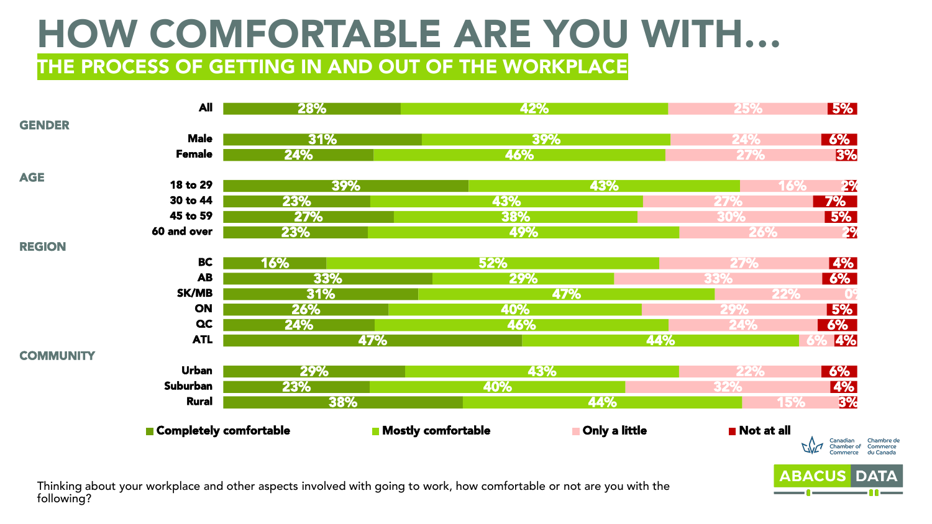THE PROCESS OF GETTING IN AND OUT OF THE WORKPLACE

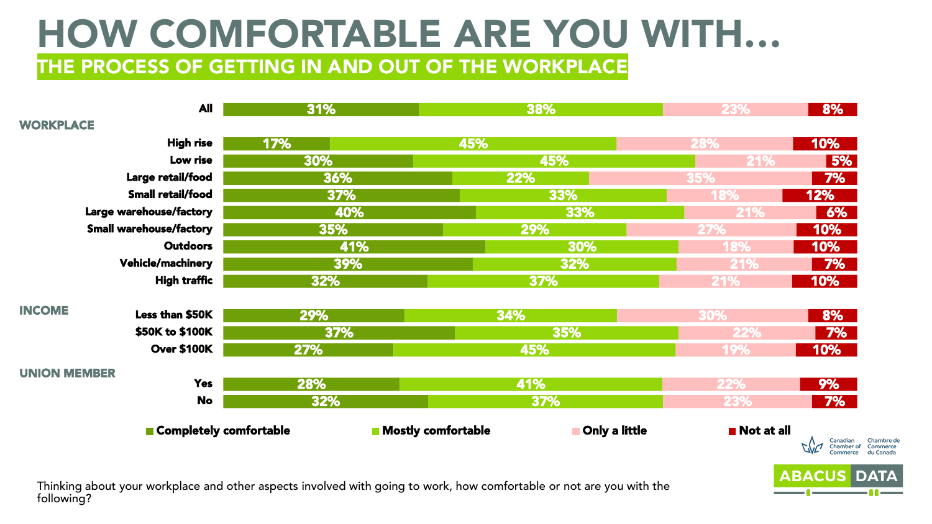#### HOW COMFORTABLE ARE YOU WITH… THE PROCESS OF GETTING IN AND OUT OF THE WORKPLACE

|                     | <b>All</b>                     | 31% |                           | 38%           | 23%                       | 8%                                                            |
|---------------------|--------------------------------|-----|---------------------------|---------------|---------------------------|---------------------------------------------------------------|
| <b>WORKPLACE</b>    |                                |     |                           |               |                           |                                                               |
|                     | <b>High rise</b>               | 17% | 45%                       |               | 28%                       | 10%                                                           |
|                     | Low rise                       | 30% |                           | 45%           | 21%                       | 5%                                                            |
|                     | Large retail/food              | 36% | 22%                       |               | 35%                       | 7%                                                            |
|                     | Small retail/food              | 37% |                           | 33%           | <b>18%</b>                | 12%                                                           |
|                     | Large warehouse/factory        | 40% |                           | 33%           | 21%                       | 6%                                                            |
|                     | <b>Small warehouse/factory</b> | 35% |                           | 29%           | 27%                       | 10%                                                           |
|                     | <b>Outdoors</b>                | 41% |                           | 30%           | <b>18%</b>                | 10%                                                           |
|                     | <b>Vehicle/machinery</b>       | 39% |                           | 32%           | 21%                       | <b>7%</b>                                                     |
|                     | <b>High traffic</b>            | 32% |                           | 37%           | 21%                       | 10%                                                           |
| <b>INCOME</b>       | Less than \$50K                | 29% | 34%                       |               | 30%                       | 8%                                                            |
|                     | \$50K to \$100K                | 37% |                           | 35%           | 22%                       | <b>7%</b>                                                     |
|                     | <b>Over \$100K</b>             | 27% |                           | 45%           | <b>19%</b>                | 10%                                                           |
| <b>UNION MEMBER</b> |                                |     |                           |               |                           |                                                               |
|                     | <b>Yes</b>                     | 28% |                           | 41%           | 22%                       | 9%                                                            |
|                     | <b>No</b>                      | 32% |                           | 37%           | 23%                       | 7%                                                            |
|                     | Completely comfortable         |     | <b>Nostly comfortable</b> | Only a little | $\blacksquare$ Not at all | Canadian<br>Chambre de<br>Commerce<br>Chamber of<br>du Canada |
|                     |                                |     |                           |               |                           |                                                               |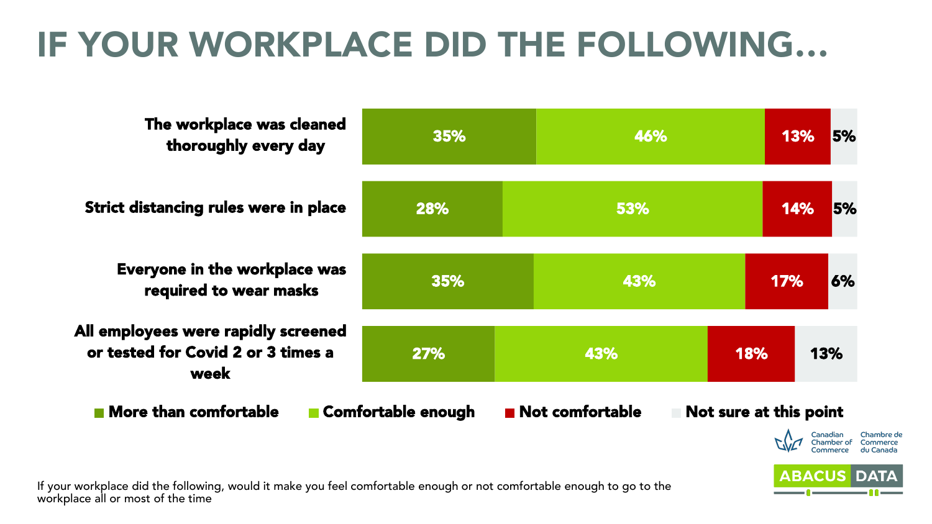| The workplace was cleaned<br>thoroughly every day                                                              | 35%                | 46%                            | 5%<br>13%              |
|----------------------------------------------------------------------------------------------------------------|--------------------|--------------------------------|------------------------|
| Strict distancing rules were in place                                                                          | 28%                | 53%                            | 5%<br>14%              |
| Everyone in the workplace was<br>required to wear masks                                                        | 35%                | 43%                            | 17%<br>6%              |
| All employees were rapidly screened<br>or tested for Covid 2 or 3 times a<br>week                              | 27%                | 43%                            | 13%<br>18%             |
| <b>Nore than comfortable</b>                                                                                   | Comfortable enough | $\blacksquare$ Not comfortable | Not sure at this point |
|                                                                                                                |                    |                                | Canadiar               |
| r workplace did the following would it make you feel comfortable enough or not comfortable enough to go to the |                    |                                | <b>ABACUS DATA</b>     |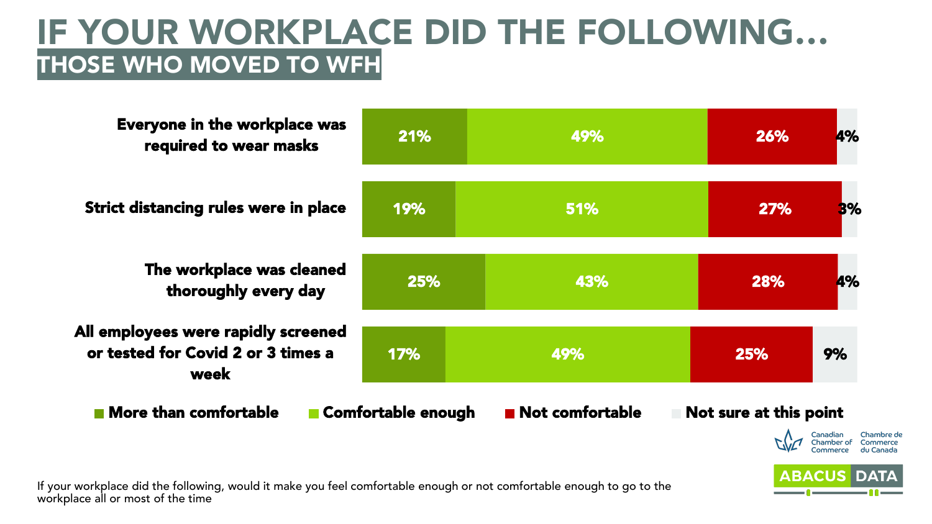#### IF YOUR WORKPLACE DID THE FOLLOWING… THOSE WHO MOVED TO WFH

| <b>Everyone in the workplace was</b><br>required to wear masks                    | 21%                | 49%             | <b>4%</b><br>26%                 |
|-----------------------------------------------------------------------------------|--------------------|-----------------|----------------------------------|
| <b>Strict distancing rules were in place</b>                                      | 19%                | <b>51%</b>      | 27%<br><b>B%</b>                 |
| The workplace was cleaned<br>thoroughly every day                                 | 25%                | 43%             | <b>4%</b><br>28%                 |
| All employees were rapidly screened<br>or tested for Covid 2 or 3 times a<br>week | 17%                | 49%             | 9%<br>25%                        |
| <b>Nore than comfortable</b>                                                      | Comfortable enough | Not comfortable | Not sure at this point<br>Canada |

**ABACUS DA**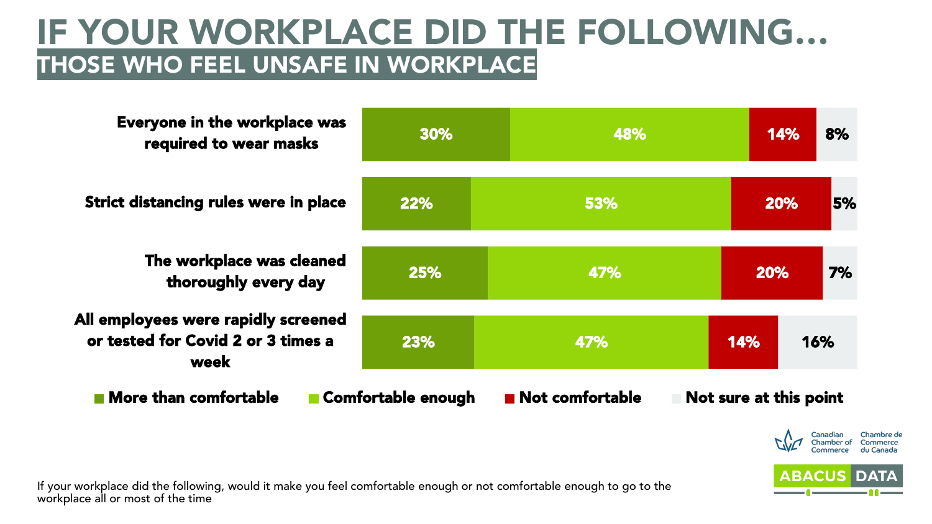#### IF YOUR WORKPLACE DID THE FOLLOWING… THOSE WHO FEEL UNSAFE IN WORKPLACE

30% 22% 25% 23% 48% 53% 47% 47% 14% 20% 20% 14% 8% 5% 7% 16% Everyone in the workplace was required to wear masks Strict distancing rules were in place The workplace was cleaned thoroughly every day All employees were rapidly screened or tested for Covid 2 or 3 times a week  $\blacksquare$  More than comfortable  $\blacksquare$  Comfortable enough  $\blacksquare$  Not comfortable  $\blacksquare$  Not sure at this point

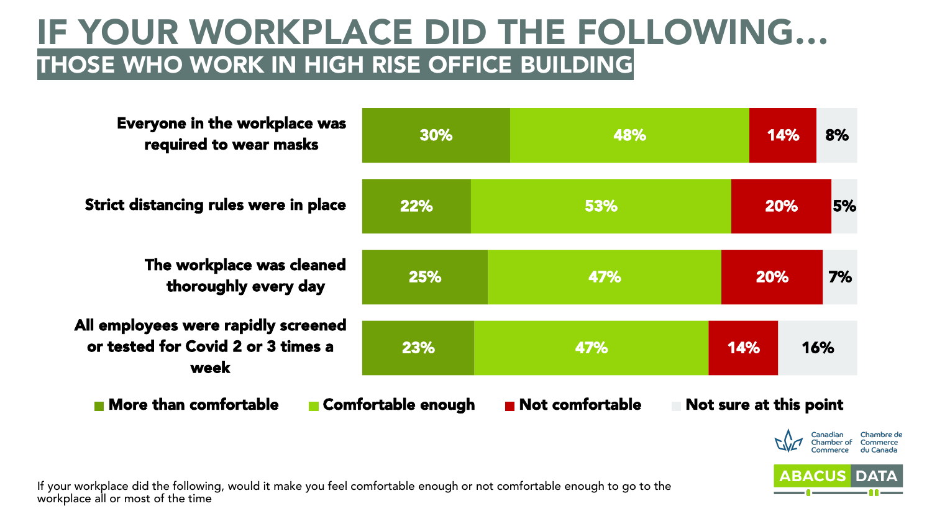#### IF YOUR WORKPLACE DID THE FOLLOWING… THOSE WHO WORK IN HIGH RISE OFFICE BUILDING

| <b>Everyone in the workplace was</b><br>required to wear masks                    | 30%                | 48%             |                        | 14%       | 8%            |
|-----------------------------------------------------------------------------------|--------------------|-----------------|------------------------|-----------|---------------|
| <b>Strict distancing rules were in place</b>                                      | 22%                | 53%             |                        | 20%       | 5%            |
| The workplace was cleaned<br>thoroughly every day                                 | 25%                | 47%             |                        | 20%       | 7%            |
| All employees were rapidly screened<br>or tested for Covid 2 or 3 times a<br>week | 23%                | 47%             | 14%                    |           | 16%           |
| More than comfortable                                                             | Comfortable enough | Not comfortable | Not sure at this point | $\Lambda$ | Canadian<br>C |

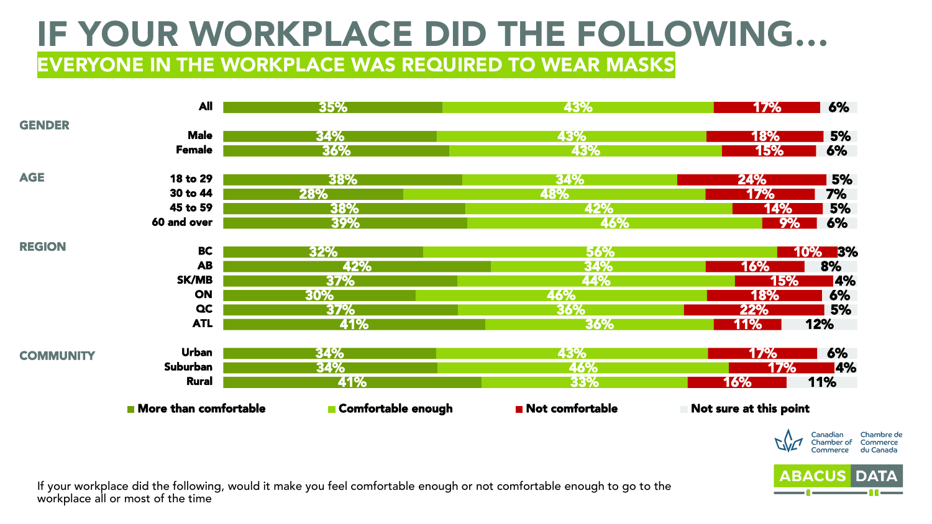EVERYONE IN THE WORKPLACE WAS REQUIRED TO WEAR MASKS

|                  | <b>All</b>                           | 35%                | 43%                            | <b>17%</b>             | 6%                                                                  |
|------------------|--------------------------------------|--------------------|--------------------------------|------------------------|---------------------------------------------------------------------|
| <b>GENDER</b>    |                                      |                    |                                |                        |                                                                     |
|                  | <b>Male</b>                          | 34%                | 43%                            | <b>18%</b>             | <b>5%</b>                                                           |
|                  | <b>Female</b>                        | 36%                | 43%                            | <b>15%</b>             | 6%                                                                  |
| <b>AGE</b>       | 18 to 29                             | 38%                | <b>34%</b>                     | <b>24%</b>             | 5%                                                                  |
|                  | 30 to 44                             | 28%                | 48%                            | 17%                    | 7%                                                                  |
|                  | 45 to 59                             | 38%                | 42%                            | 14%                    | 5%                                                                  |
|                  | 60 and over                          | 39%                | 46%                            | 9%                     | 6%                                                                  |
| <b>REGION</b>    | <b>BC</b>                            | 32%                | 56%                            |                        | 10% 3%                                                              |
|                  | <b>AB</b>                            | 42%                | 34%                            | 16%                    | 8%                                                                  |
|                  | <b>SK/MB</b>                         | 37%                | 44%                            | 15%                    | <b>4%</b>                                                           |
|                  | <b>ON</b>                            | 30%                | 46%                            | 18%                    | 6%                                                                  |
|                  | <b>QC</b>                            | 37%                | 36%                            | 22%                    | 5%                                                                  |
|                  | <b>ATL</b>                           | 41%                | 36%                            | <b>11%</b>             | 12%                                                                 |
| <b>COMMUNITY</b> | <b>Urban</b>                         | 34%                | 43%                            | <b>17%</b>             | 6%                                                                  |
|                  | Suburban                             | <b>34%</b>         | 46%                            | 17%                    | <b>4%</b>                                                           |
|                  | <b>Rural</b>                         | 41%                | 33%                            | 16%                    | 11%                                                                 |
|                  | $\blacksquare$ More than comfortable | Comfortable enough | $\blacksquare$ Not comfortable | Not sure at this point |                                                                     |
|                  |                                      |                    |                                | Che                    | Chambre de<br>Canadian<br>Chamber of Commerce<br>Commerce du Canada |

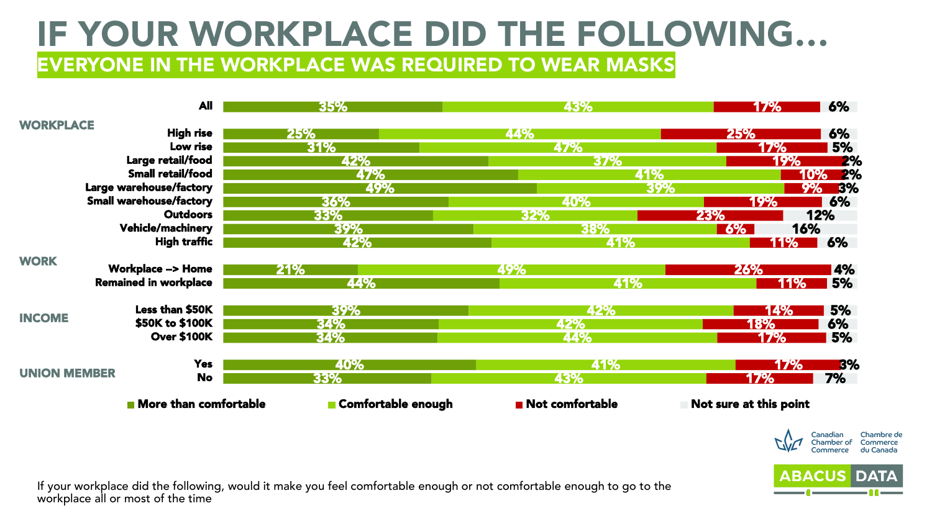EVERYONE IN THE WORKPLACE WAS REQUIRED TO WEAR MASKS

|                     | <b>All</b>                     | 35%                       | 43%             | 6%<br>17%              |
|---------------------|--------------------------------|---------------------------|-----------------|------------------------|
| <b>WORKPLACE</b>    | <b>High rise</b>               | 25%                       | 44%             | 6%<br>25%              |
|                     | Low rise                       |                           |                 |                        |
|                     |                                | 31%                       | 47%             | 5%<br><b>17%</b>       |
|                     | Large retail/food              | 42%                       | 37%             | 19%<br><b>2%</b>       |
|                     | Small retail/food              | 47%                       | 41%             | <b>2%</b><br>10%       |
|                     | Large warehouse/factory        | 49%                       |                 | 9%<br>3%<br>39%        |
|                     | <b>Small warehouse/factory</b> | 36%                       | 40%             | 6%<br>19%              |
|                     | <b>Outdoors</b>                | 33%                       | 32%             | 12%<br>23%             |
|                     | <b>Vehicle/machinery</b>       | 39%                       | 38%             | 16%<br><b>6%</b>       |
|                     | <b>High traffic</b>            | 42%                       | <b>41%</b>      | 6%<br><u> 11% </u>     |
| <b>WORK</b>         |                                |                           |                 |                        |
|                     | <b>Workplace --&gt; Home</b>   | 21%                       | 49%             | <b>4%</b><br>26%       |
|                     | <b>Remained in workplace</b>   | 44%                       | 41%             | 5%<br>11%              |
|                     | Less than \$50K                | 39%                       | 42%             | 5%<br>14%              |
| <b>INCOME</b>       | \$50K to \$100K                | 34%                       | 42%             | 6%<br>18%              |
|                     | <b>Over \$100K</b>             | 34%                       | 44%             | 5%<br>17%              |
|                     | <b>Yes</b>                     | 40%                       | 41%             | <b>B%</b><br>17%       |
| <b>UNION MEMBER</b> | <b>No</b>                      | 33%                       | 43%             | 17%<br>7%              |
|                     | <b>More than comfortable</b>   | <b>Comfortable enough</b> | Not comfortable | Not sure at this point |



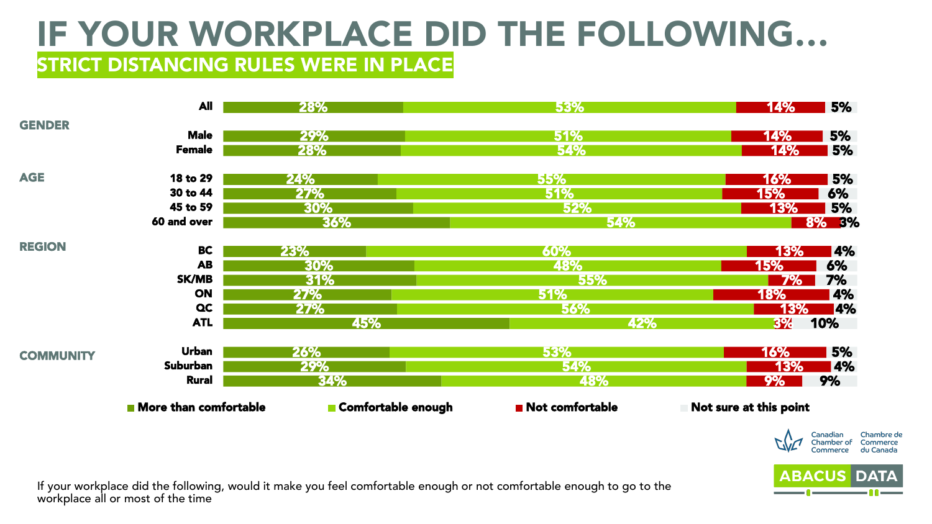#### IF YOUR WORKPLACE DID THE FOLLOWING… **STRICT DISTANCING RULES WERE IN PLACE**

|                  | <b>All</b>                           | 28%                | 53%                            | <b>5%</b><br><b>14%</b>                         |
|------------------|--------------------------------------|--------------------|--------------------------------|-------------------------------------------------|
| <b>GENDER</b>    |                                      |                    |                                |                                                 |
|                  | <b>Male</b>                          | 29%                | 51%                            | 5%<br>14%                                       |
|                  | <b>Female</b>                        | 28%                | 54%                            | <b>14%</b><br>5%                                |
| <b>AGE</b>       | 18 to 29                             | 24%                | 55%                            | <b>5%</b><br>16%                                |
|                  | 30 to 44                             | <b>27%</b>         | 51%                            | 15%<br>6%                                       |
|                  | 45 to 59                             | 30%                | <b>52%</b>                     | 13%<br>5%                                       |
|                  | 60 and over                          | 36%                | <b>54%</b>                     | <b>8% B%</b>                                    |
| <b>REGION</b>    | <b>BC</b>                            | 23%                | 60%                            | <b>4%</b><br>13%                                |
|                  | <b>AB</b>                            | 30%                | 48%                            | 6%<br>15%                                       |
|                  | SK/MB                                | 31%                | <b>55%</b>                     | <b>7%</b><br>7%                                 |
|                  | ON                                   | 27%                | 51%                            | 18%<br>$\overline{4\%}$                         |
|                  | <b>QC</b>                            | <b>27%</b>         | 56%                            | 13%<br><b>4%</b>                                |
|                  | <b>ATL</b>                           | 45%                | 42%                            | 10%<br>3%                                       |
| <b>COMMUNITY</b> | <b>Urban</b>                         | <b>26%</b>         | 53%                            | <b>5%</b><br>16%                                |
|                  | Suburban                             | 29%                | 54%                            | 13%<br><b>4%</b>                                |
|                  | <b>Rural</b>                         | <b>34%</b>         | 48%                            | 9%<br>9%                                        |
|                  | $\blacksquare$ More than comfortable | Comfortable enough | $\blacksquare$ Not comfortable | Not sure at this point                          |
|                  |                                      |                    |                                | Chambre de<br>Canadian                          |
|                  |                                      |                    |                                | Commerce<br>Chamber of<br>du Canada<br>Commerce |

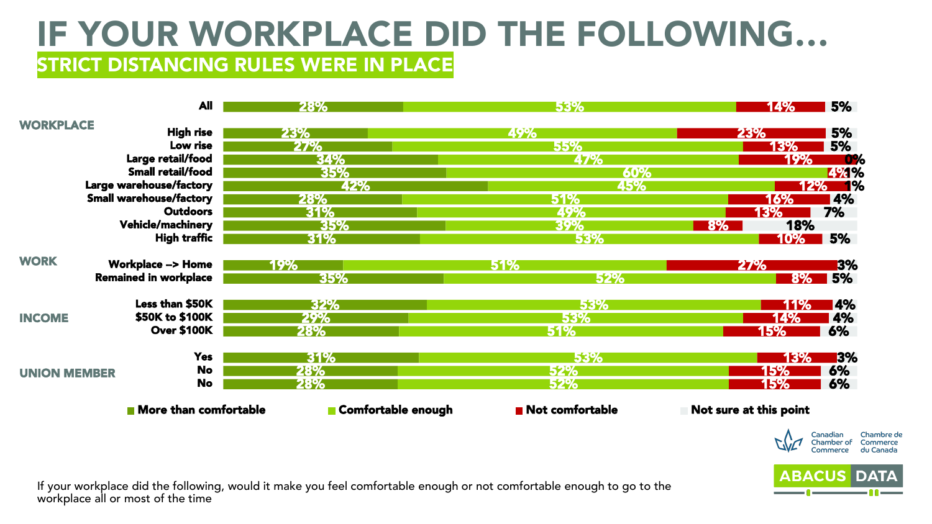#### IF YOUR WORKPLACE DID THE FOLLOWING… **STRICT DISTANCING RULES WERE IN PLACE**

|                     | <b>All</b>                     | 28%                | 53%             | 5%<br>14%                                                                 |
|---------------------|--------------------------------|--------------------|-----------------|---------------------------------------------------------------------------|
| <b>WORKPLACE</b>    |                                |                    |                 |                                                                           |
|                     | <b>High rise</b>               | 23%                | 49%             | 5%<br><b>23%</b>                                                          |
|                     | Low rise                       | 27%                | 55%             | 5%<br>13%                                                                 |
|                     | Large retail/food              | 34%                | 47%             | 19%<br><b>0%</b>                                                          |
|                     | Small retail/food              | 35%                | 60%             | <b>794%</b>                                                               |
|                     | Large warehouse/factory        | 42%                | 45%             | 12% 1%                                                                    |
|                     | <b>Small warehouse/factory</b> | 28%                | 51%             | 4%<br>16%                                                                 |
|                     | <b>Outdoors</b>                | 31%                | 49%             | 7%<br>13%                                                                 |
|                     | <b>Vehicle/machinery</b>       | 35%                | 39%             | 18%<br><b>8%</b>                                                          |
|                     | <b>High traffic</b>            | 31%                | 53%             | <b>5%</b><br><b>10%</b>                                                   |
| <b>WORK</b>         | <b>Workplace --&gt; Home</b>   | 19%                | <b>51%</b>      | <b>3%</b><br><b>27%</b>                                                   |
|                     | <b>Remained in workplace</b>   | 35%                | 52%             | $8\%$ 5%                                                                  |
|                     | Less than \$50K                | 32%                | 53%             | <b>14%</b><br>11%                                                         |
| <b>INCOME</b>       | \$50K to \$100K                | 29%                | 53%             | 4%<br>14%                                                                 |
|                     | <b>Over \$100K</b>             | <b>28%</b>         | <b>51%</b>      | 6%<br>15%                                                                 |
|                     | <b>Yes</b>                     | 31%                | 53%             | <b>3%</b><br>13%                                                          |
| <b>UNION MEMBER</b> | <b>No</b>                      | 28%                | 52%             | 6%<br>15%                                                                 |
|                     | <b>No</b>                      | 28%                | <b>52%</b>      | 6%<br>15%                                                                 |
|                     | <b>Nore than comfortable</b>   | Comfortable enough | Not comfortable | Not sure at this point                                                    |
|                     |                                |                    |                 | Chambre de<br>Canadian<br>Commerce<br>Chamber of<br>du Canada<br>Commerce |

**ABACUS**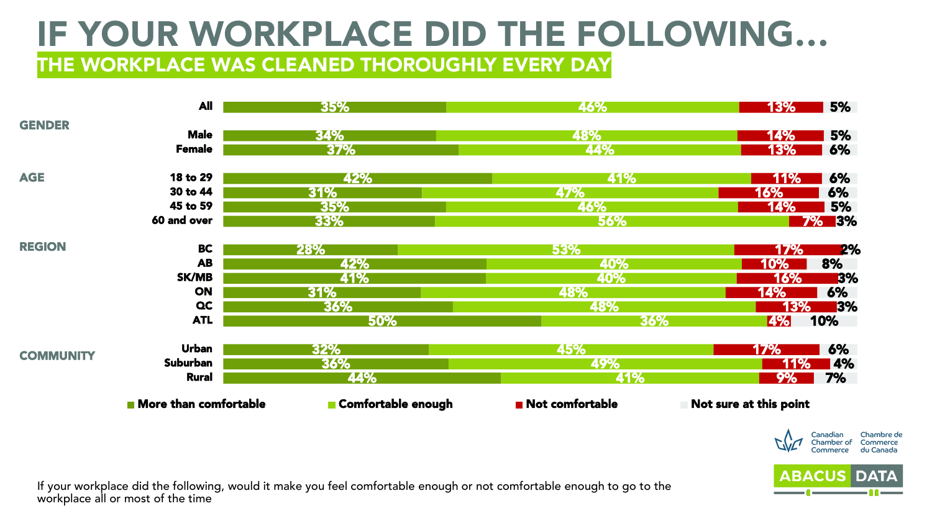THE WORKPLACE WAS CLEANED THOROUGHLY EVERY DAY

|                  | <b>All</b>                           | 35%                | 46%             | 5%<br>13%              |
|------------------|--------------------------------------|--------------------|-----------------|------------------------|
| <b>GENDER</b>    |                                      |                    |                 |                        |
|                  | <b>Male</b>                          | 34%                | 48%             | 5%<br>14%              |
|                  | <b>Female</b>                        | 37%                | 44%             | 6%<br><b>13%</b>       |
| <b>AGE</b>       | 18 to 29                             | 42%                | 41%             | 6%<br><b>11%</b>       |
|                  | 30 to 44                             | 31%                | 47%             | 6%<br>16%              |
|                  | 45 to 59                             | 35%                | 46%             | 5%<br>14%              |
|                  | 60 and over                          | 33%                | 56%             | <b>7%</b><br><b>3%</b> |
| <b>REGION</b>    | <b>BC</b>                            | 28%                | 53%             | <b>2%</b><br>17%       |
|                  | <b>AB</b>                            | 42%                | 40%             | 8%<br>10%              |
|                  | SK/MB                                | 41%                | 40%             | <b>3%</b><br>16%       |
|                  | <b>ON</b>                            | 31%                | 48%             | 6%<br>14%              |
|                  | $\alpha$                             | 36%                | 48%             | 13%<br><b>3%</b>       |
|                  | <b>ATL</b>                           | 50%                | 36%             | 10%<br><b>4%</b>       |
| <b>COMMUNITY</b> | <b>Urban</b>                         | 32%                | 45%             | 6%<br>17%              |
|                  | Suburban                             | 36%                | 49%             | 11%<br><b>4%</b>       |
|                  | <b>Rural</b>                         | 44%                | 41%             | 7%<br>9%               |
|                  | $\blacksquare$ More than comfortable | Comfortable enough | Not comfortable | Not sure at this point |



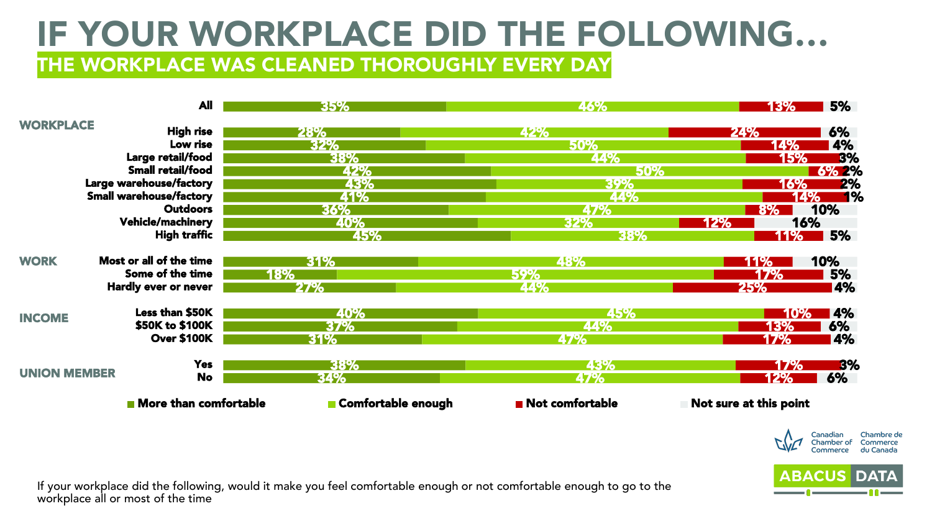THE WORKPLACE WAS CLEANED THOROUGHLY EVERY DAY

|                     | <b>All</b>                     | 35%                | 46%             | 5%<br><b>13%</b>                               |
|---------------------|--------------------------------|--------------------|-----------------|------------------------------------------------|
| <b>WORKPLACE</b>    |                                |                    |                 |                                                |
|                     | <b>High rise</b>               | 28%                | 42%             | 6%<br>24%                                      |
|                     | Low rise                       | 32%                | 50%             | 4%<br><b>14%</b>                               |
| Large retail/food   |                                | 38%                | 44%             | <b>B%</b><br>15%                               |
|                     | <b>Small retail/food</b>       | 42%                | <b>50%</b>      | <b>6% 2%</b>                                   |
|                     | Large warehouse/factory        | 43%                | 39%             | 2%<br>16%                                      |
|                     | <b>Small warehouse/factory</b> | 41%                | 44%             | 1%                                             |
|                     | <b>Outdoors</b>                | 36%                | 47%             | 10%<br>8%                                      |
|                     | <b>Vehicle/machinery</b>       | 40%                | 32%             | 16%<br>12%                                     |
|                     | <b>High traffic</b>            | 45%                | 38%             | 5%<br><u> 11% </u>                             |
| <b>WORK</b>         | Most or all of the time        | 31%                | 48%             | 10%<br>11%                                     |
|                     | Some of the time               | 18%                | 59%             | 5%<br>17%                                      |
|                     | Hardly ever or never           | 27%                | 44%             | 25%<br><b>14%</b>                              |
|                     | Less than \$50K                | 40%                | 45%             | <b>4%</b><br>10%                               |
| <b>INCOME</b>       | \$50K to \$100K                | 37%                | 44%             | 6%<br>13%                                      |
|                     | <b>Over \$100K</b>             | 31%                | 47%             | 4%<br>17%                                      |
|                     | <b>Yes</b>                     | 38%                | 43%             | 3%<br><b>17%</b>                               |
| <b>UNION MEMBER</b> | <b>No</b>                      |                    |                 |                                                |
|                     |                                | 34%                | 47%             | 6%<br>12%                                      |
|                     | More than comfortable          | Comfortable enough | Not comfortable | Not sure at this point                         |
|                     |                                |                    |                 | $\mathbf{A}$ and $\mathbf{A}$ and $\mathbf{A}$ |

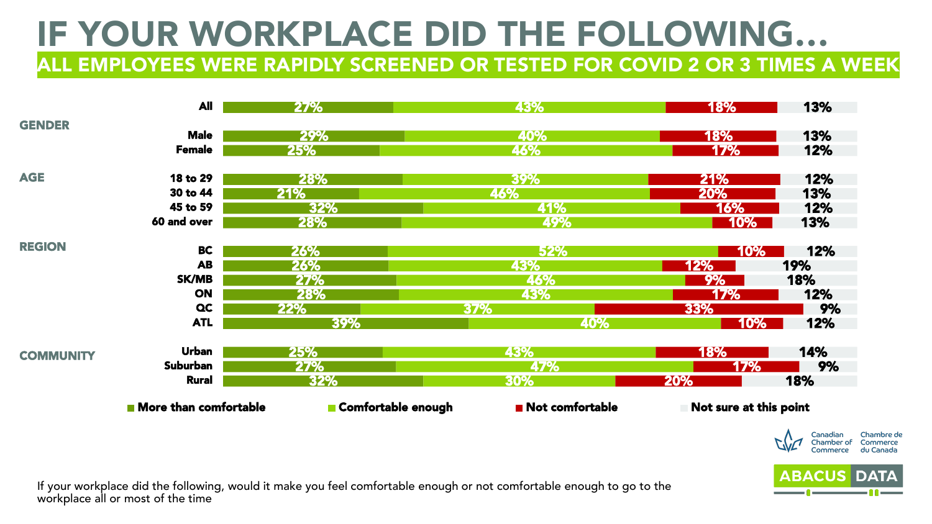ALL EMPLOYEES WERE RAPIDLY SCREENED OR TESTED FOR COVID 2 OR 3 TIMES A WEEK

|                  | <b>All</b>                   | <b>27%</b>         | 43%             | <b>18%</b>             | 13%        |
|------------------|------------------------------|--------------------|-----------------|------------------------|------------|
| <b>GENDER</b>    | <b>Male</b>                  |                    |                 |                        |            |
|                  | <b>Female</b>                | 29%<br>25%         | 40%<br>46%      | <b>18%</b><br>17%      | 13%<br>12% |
|                  |                              |                    |                 |                        |            |
| <b>AGE</b>       | 18 to 29                     | <b>28%</b>         | 39%             | 21%                    | 12%        |
|                  | 30 to 44                     | 21%                | 46%             | 20%                    | 13%        |
|                  | 45 to 59                     | 32%                | 41%             | <b>16%</b>             | 12%        |
|                  | 60 and over                  | <b>28%</b>         | 49%             | <b>10%</b>             | 13%        |
| <b>REGION</b>    | <b>BC</b>                    | 26%                | 52%             | 10%                    | 12%        |
|                  | <b>AB</b>                    | <b>26%</b>         | 43%             | 12%                    | 19%        |
|                  | <b>SK/MB</b>                 | 27%                | 46%             | 9%                     | 18%        |
|                  | <b>ON</b>                    | 28%                | 43%             | <b>17%</b>             | 12%        |
|                  | $\alpha$                     | 22%                | 37%             | 33%                    | 9%         |
|                  | <b>ATL</b>                   | 39%                | 40%             | $10\%$                 | 12%        |
| <b>COMMUNITY</b> | <b>Urban</b>                 | 25%                | 43%             | 18%                    | 14%        |
|                  | Suburban                     | 27%                | 47%             | 17%                    | 9%         |
|                  | <b>Rural</b>                 | 32%                | 30%             | <b>20%</b>             | 18%        |
|                  | <b>More than comfortable</b> | Comfortable enough | Not comfortable | Not sure at this point |            |

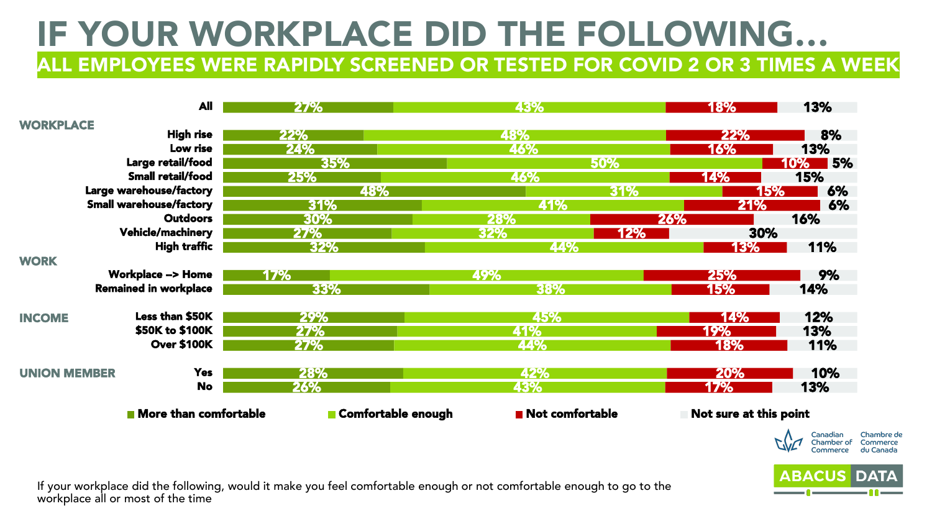ALL EMPLOYEES WERE RAPIDLY SCREENED OR TESTED FOR COVID 2 OR 3 TIMES A WEEK

|                     | <b>All</b>                     | <b>27%</b>         | 43%                            |            | <b>18%</b>             | 13%                                                                      |
|---------------------|--------------------------------|--------------------|--------------------------------|------------|------------------------|--------------------------------------------------------------------------|
| <b>WORKPLACE</b>    |                                |                    |                                |            |                        |                                                                          |
|                     | <b>High rise</b>               | 22%                | 48%                            |            | <b>22%</b>             | 8%                                                                       |
|                     | Low rise                       | 24%                | 46%                            |            | 16%                    | 13%                                                                      |
|                     | Large retail/food              | 35%                |                                | 50%        |                        | <b>15%</b><br><b>10%</b>                                                 |
|                     | Small retail/food              | <b>25%</b>         | <b>46%</b>                     |            | 14%                    | 15%                                                                      |
|                     | Large warehouse/factory        | 48%                |                                | 31%        | 15%                    | 6%                                                                       |
|                     | <b>Small warehouse/factory</b> | 31%                | 41%                            |            | <b>21%</b>             | 6%                                                                       |
|                     | <b>Outdoors</b>                | 30%                | 28%                            | 26%        |                        | 16%                                                                      |
|                     | <b>Vehicle/machinery</b>       | <b>27%</b>         | <b>32%</b>                     | <b>12%</b> | 30%                    |                                                                          |
|                     | <b>High traffic</b>            | 32%                | 44%                            |            | <b>13%</b>             | 11%                                                                      |
| <b>WORK</b>         |                                |                    |                                |            |                        |                                                                          |
|                     | <b>Workplace --&gt; Home</b>   | <b>17%</b>         | 49%                            |            | 25%                    | 9%                                                                       |
|                     | <b>Remained in workplace</b>   | 33%                | 38%                            |            | 15%                    | 14%                                                                      |
| <b>INCOME</b>       | Less than \$50K                | 29%                | 45%                            |            | <b>14%</b>             | 12%                                                                      |
|                     | \$50K to \$100K                | <b>27%</b>         | 41%                            |            | 19%                    | 13%                                                                      |
|                     | <b>Over \$100K</b>             | 27%                | 44%                            |            | <b>18%</b>             | 11%                                                                      |
| <b>UNION MEMBER</b> | <b>Yes</b>                     | 28%                | 42%                            |            | 20%                    | 10%                                                                      |
|                     | <b>No</b>                      | 26%                | 43%                            |            | 17%                    | 13%                                                                      |
|                     | <b>More than comfortable</b>   | Comfortable enough | $\blacksquare$ Not comfortable |            | Not sure at this point |                                                                          |
|                     |                                |                    |                                |            |                        | Chambre d<br>Commerce<br>Canadian<br>Chamber of<br>du Canada<br>Commerce |

hambre de

**ABACUS**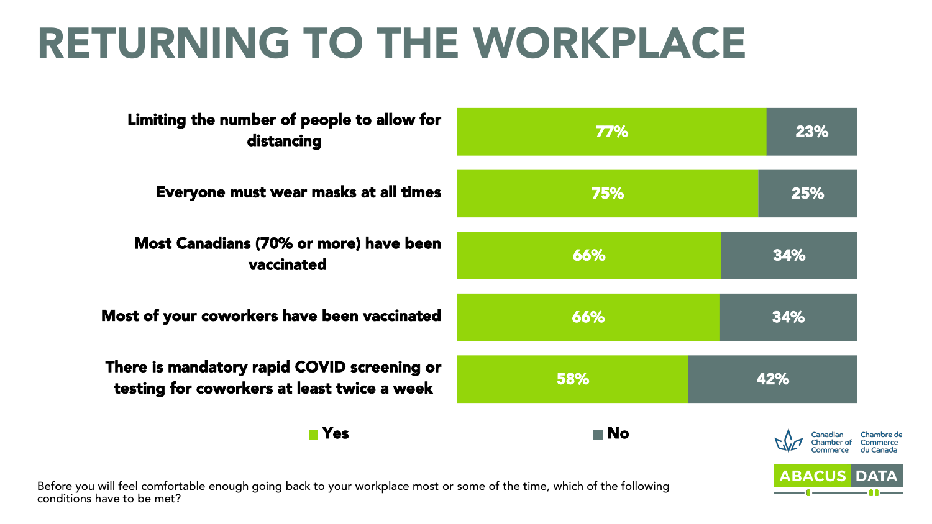# RETURNING TO THE WORKPLACE

| Limiting the number of people to allow for<br>distancing                                                       | 77%               | 23%                |
|----------------------------------------------------------------------------------------------------------------|-------------------|--------------------|
| Everyone must wear masks at all times                                                                          | 75%               | 25%                |
| <b>Most Canadians (70% or more) have been</b><br>vaccinated                                                    | 66%               | 34%                |
| Most of your coworkers have been vaccinated                                                                    | 66%               | 34%                |
| There is mandatory rapid COVID screening or<br>testing for coworkers at least twice a week                     | 58%               | 42%                |
| <b>■ Yes</b>                                                                                                   | $\blacksquare$ No |                    |
| e e Miller de la califactura de la comunicación de la comunicación de la contrata de la califactura la llega d |                   | <b>ABACUS DATA</b> |

Before you will feel comfortable enough going back to your workplace most or some of the time, which of the following conditions have to be met?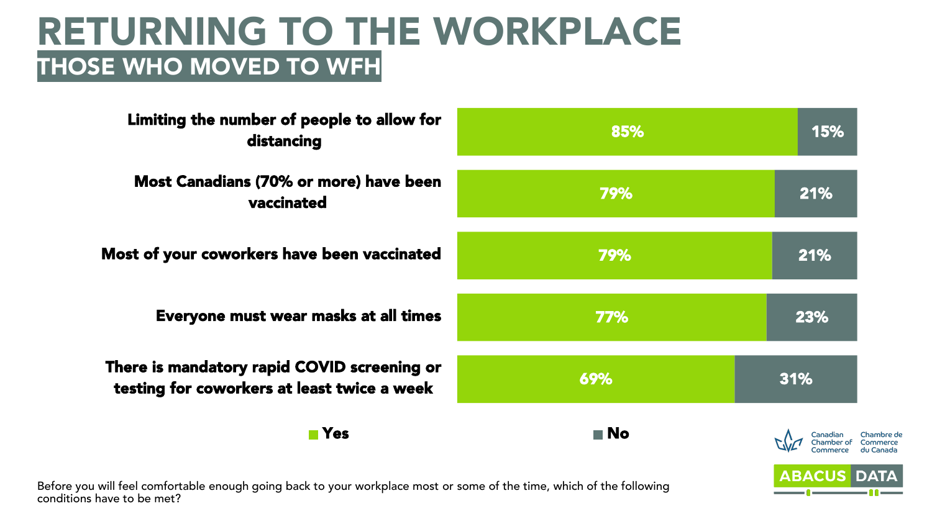### RETURNING TO THE WORKPLACE THOSE WHO MOVED TO WFH

| Limiting the number of people to allow for<br>distancing                                                    | 85%               | 15%                |
|-------------------------------------------------------------------------------------------------------------|-------------------|--------------------|
| Most Canadians (70% or more) have been<br>vaccinated                                                        | 79%               | 21%                |
| Most of your coworkers have been vaccinated                                                                 | 79%               | 21%                |
| Everyone must wear masks at all times                                                                       | 77%               | 23%                |
| There is mandatory rapid COVID screening or<br>testing for coworkers at least twice a week                  | 69%               | 31%                |
| $\blacksquare$ Yes                                                                                          | $\blacksquare$ No |                    |
| u will feel comfortele anough asing look to your workplace most ar seme of the time, which of the fellowing |                   | <b>ABACUS DATA</b> |

Before you will feel comfortable enough going back to your workplace most or some of the time, which of the following conditions have to be met?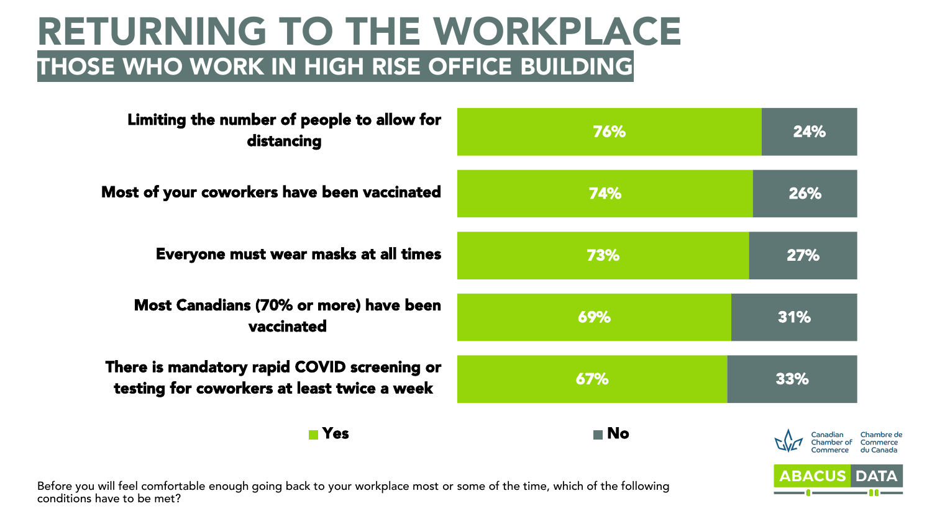### RETURNING TO THE WORKPLACE THOSE WHO WORK IN HIGH RISE OFFICE BUILDING

| Limiting the number of people to allow for<br>distancing                                                      | 76%               | 24%                |
|---------------------------------------------------------------------------------------------------------------|-------------------|--------------------|
| Most of your coworkers have been vaccinated                                                                   | 74%               | 26%                |
| Everyone must wear masks at all times                                                                         | 73%               | 27%                |
| Most Canadians (70% or more) have been<br>vaccinated                                                          | 69%               | 31%                |
| There is mandatory rapid COVID screening or<br>testing for coworkers at least twice a week                    | 67%               | 33%                |
| $\blacksquare$ Yes                                                                                            | $\blacksquare$ No | Canadia            |
| ou will fool comfortable enough going back to your workplace most or some of the time, which of the following |                   | <b>ABACUS DATA</b> |

Before you will feel comfortable enough going back to your workplace most or some of the time, which of the following conditions have to be met?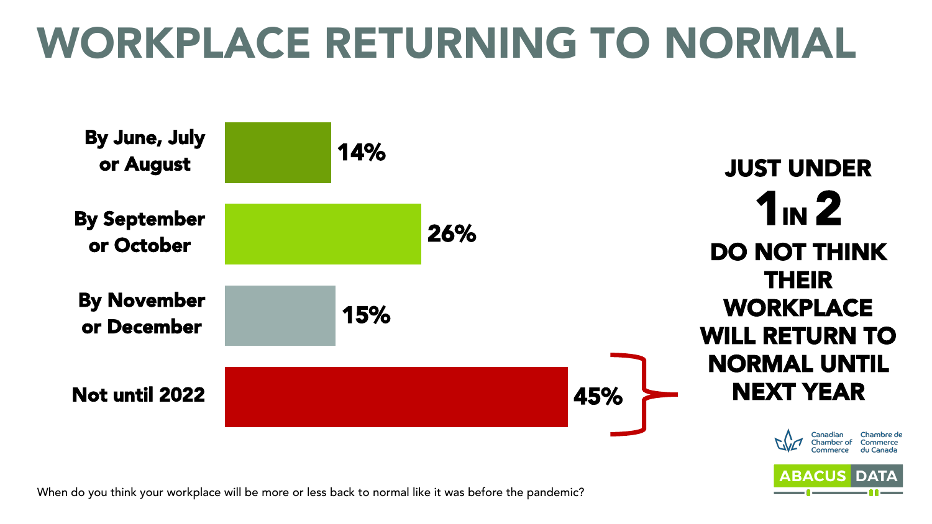# WORKPLACE RETURNING TO NORMAL

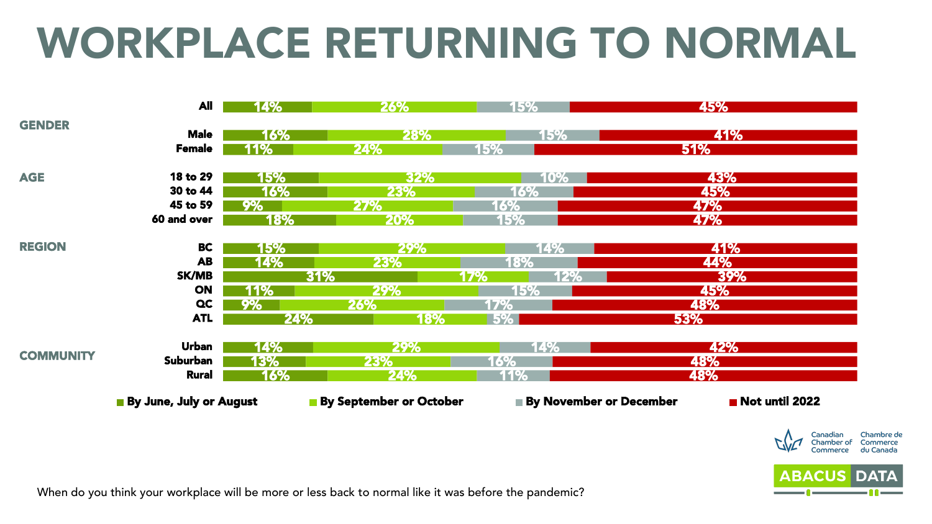# WORKPLACE RETURNING TO NORMAL







When do you think your workplace will be more or less back to normal like it was before the pandemic?